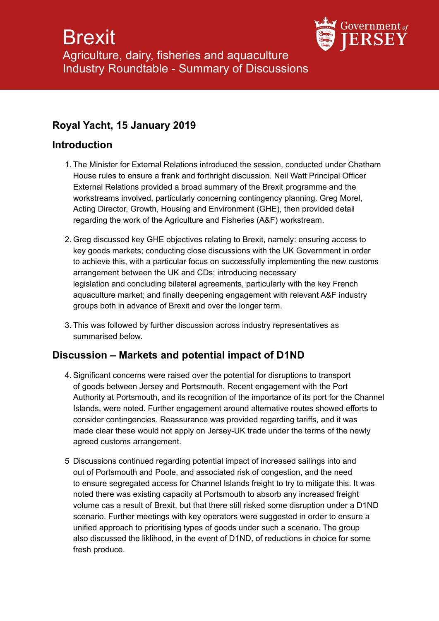

### **Royal Yacht, 15 January 2019**

#### **Introduction**

- 1. The Minister for External Relations introduced the session, conducted under Chatham House rules to ensure a frank and forthright discussion. Neil Watt Principal Officer External Relations provided a broad summary of the Brexit programme and the workstreams involved, particularly concerning contingency planning. Greg Morel, Acting Director, Growth, Housing and Environment (GHE), then provided detail regarding the work of the Agriculture and Fisheries (A&F) workstream.
- 2. Greg discussed key GHE objectives relating to Brexit, namely: ensuring access to key goods markets; conducting close discussions with the UK Government in order to achieve this, with a particular focus on successfully implementing the new customs arrangement between the UK and CDs; introducing necessary legislation and concluding bilateral agreements, particularly with the key French aquaculture market; and finally deepening engagement with relevant A&F industry groups both in advance of Brexit and over the longer term.
- 3. This was followed by further discussion across industry representatives as summarised below.

#### **Discussion – Markets and potential impact of D1ND**

- 4. Significant concerns were raised over the potential for disruptions to transport of goods between Jersey and Portsmouth. Recent engagement with the Port Authority at Portsmouth, and its recognition of the importance of its port for the Channel Islands, were noted. Further engagement around alternative routes showed efforts to consider contingencies. Reassurance was provided regarding tariffs, and it was made clear these would not apply on Jersey-UK trade under the terms of the newly agreed customs arrangement.
- 5 Discussions continued regarding potential impact of increased sailings into and out of Portsmouth and Poole, and associated risk of congestion, and the need to ensure segregated access for Channel Islands freight to try to mitigate this. It was noted there was existing capacity at Portsmouth to absorb any increased freight volume cas a result of Brexit, but that there still risked some disruption under a D1ND scenario. Further meetings with key operators were suggested in order to ensure a unified approach to prioritising types of goods under such a scenario. The group also discussed the liklihood, in the event of D1ND, of reductions in choice for some fresh produce.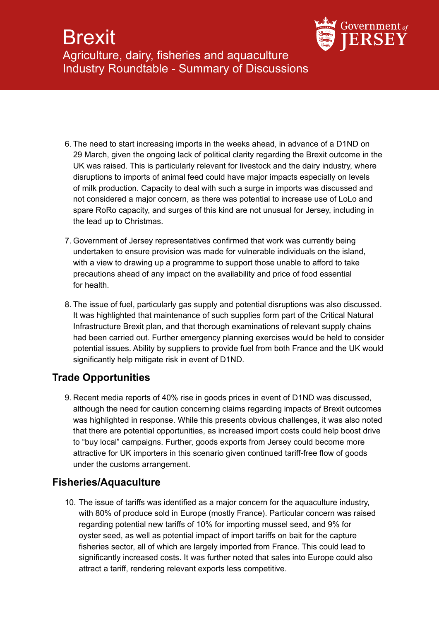# **Brexit** Agriculture, dairy, fisheries and aquaculture Industry Roundtable - Summary of Discussions



- 6. The need to start increasing imports in the weeks ahead, in advance of a D1ND on 29 March, given the ongoing lack of political clarity regarding the Brexit outcome in the UK was raised. This is particularly relevant for livestock and the dairy industry, where disruptions to imports of animal feed could have major impacts especially on levels of milk production. Capacity to deal with such a surge in imports was discussed and not considered a major concern, as there was potential to increase use of LoLo and spare RoRo capacity, and surges of this kind are not unusual for Jersey, including in the lead up to Christmas.
- 7. Government of Jersey representatives confirmed that work was currently being undertaken to ensure provision was made for vulnerable individuals on the island, with a view to drawing up a programme to support those unable to afford to take precautions ahead of any impact on the availability and price of food essential for health.
- 8. The issue of fuel, particularly gas supply and potential disruptions was also discussed. It was highlighted that maintenance of such supplies form part of the Critical Natural Infrastructure Brexit plan, and that thorough examinations of relevant supply chains had been carried out. Further emergency planning exercises would be held to consider potential issues. Ability by suppliers to provide fuel from both France and the UK would significantly help mitigate risk in event of D1ND.

## **Trade Opportunities**

9. Recent media reports of 40% rise in goods prices in event of D1ND was discussed, although the need for caution concerning claims regarding impacts of Brexit outcomes was highlighted in response. While this presents obvious challenges, it was also noted that there are potential opportunities, as increased import costs could help boost drive to "buy local" campaigns. Further, goods exports from Jersey could become more attractive for UK importers in this scenario given continued tariff-free flow of goods under the customs arrangement.

## **Fisheries/Aquaculture**

10. The issue of tariffs was identified as a major concern for the aquaculture industry, with 80% of produce sold in Europe (mostly France). Particular concern was raised regarding potential new tariffs of 10% for importing mussel seed, and 9% for oyster seed, as well as potential impact of import tariffs on bait for the capture fisheries sector, all of which are largely imported from France. This could lead to significantly increased costs. It was further noted that sales into Europe could also attract a tariff, rendering relevant exports less competitive.